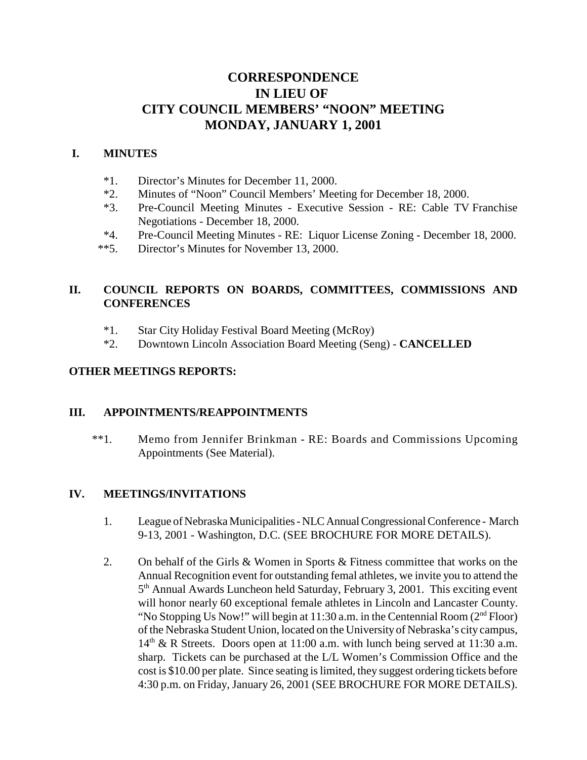# **CORRESPONDENCE IN LIEU OF CITY COUNCIL MEMBERS' "NOON" MEETING MONDAY, JANUARY 1, 2001**

### **I. MINUTES**

- \*1. Director's Minutes for December 11, 2000.
- \*2. Minutes of "Noon" Council Members' Meeting for December 18, 2000.
- \*3. Pre-Council Meeting Minutes Executive Session RE: Cable TV Franchise Negotiations - December 18, 2000.
- \*4. Pre-Council Meeting Minutes RE: Liquor License Zoning December 18, 2000.
- \*\*5. Director's Minutes for November 13, 2000.

# **II. COUNCIL REPORTS ON BOARDS, COMMITTEES, COMMISSIONS AND CONFERENCES**

- \*1. Star City Holiday Festival Board Meeting (McRoy)
- \*2. Downtown Lincoln Association Board Meeting (Seng) **CANCELLED**

### **OTHER MEETINGS REPORTS:**

#### **III. APPOINTMENTS/REAPPOINTMENTS**

\*\*1. Memo from Jennifer Brinkman - RE: Boards and Commissions Upcoming Appointments (See Material).

#### **IV. MEETINGS/INVITATIONS**

- 1. League of Nebraska Municipalities NLC Annual Congressional Conference March 9-13, 2001 - Washington, D.C. (SEE BROCHURE FOR MORE DETAILS).
- 2. On behalf of the Girls & Women in Sports & Fitness committee that works on the Annual Recognition event for outstanding femal athletes, we invite you to attend the  $5<sup>th</sup>$  Annual Awards Luncheon held Saturday, February 3, 2001. This exciting event will honor nearly 60 exceptional female athletes in Lincoln and Lancaster County. "No Stopping Us Now!" will begin at  $11:30$  a.m. in the Centennial Room  $(2<sup>nd</sup> Floor)$ of the Nebraska Student Union, located on the University of Nebraska's city campus,  $14<sup>th</sup>$  & R Streets. Doors open at 11:00 a.m. with lunch being served at 11:30 a.m. sharp. Tickets can be purchased at the L/L Women's Commission Office and the cost is \$10.00 per plate. Since seating is limited, they suggest ordering tickets before 4:30 p.m. on Friday, January 26, 2001 (SEE BROCHURE FOR MORE DETAILS).